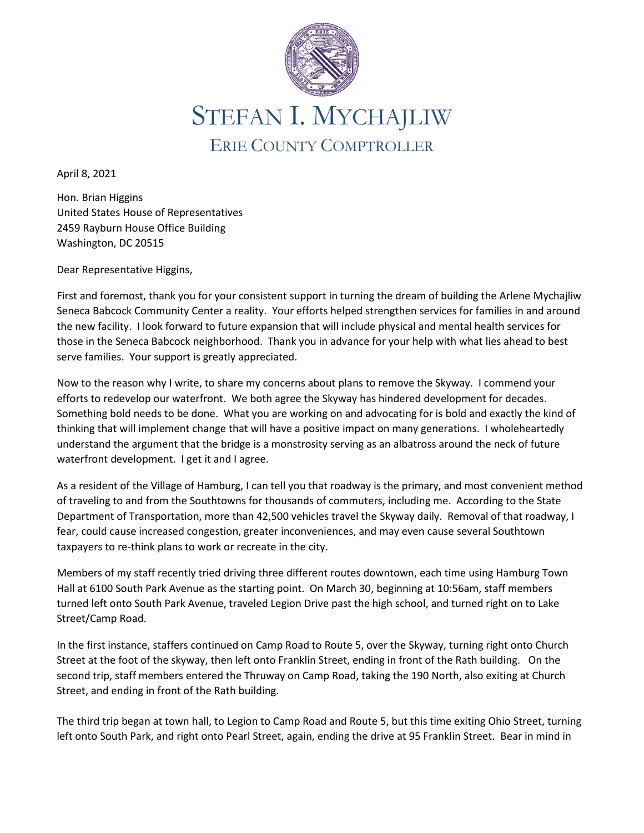

April 8, 2021

Hon. Brian Higgins United States House of Representatives 2459 Rayburn House Office Building Washington, DC 20515

Dear Representative Higgins,

First and foremost, thank you for your consistent support in turning the dream of building the Arlene Mychajliw Seneca Babcock Community Center a reality. Your efforts helped strengthen services for families in and around the new facility. I look forward to future expansion that will include physical and mental health services for those in the Seneca Babcock neighborhood. Thank you in advance for your help with what lies ahead to best serve families. Your support is greatly appreciated.

Now to the reason why I write, to share my concerns about plans to remove the Skyway. I commend your efforts to redevelop our waterfront. We both agree the Skyway has hindered development for decades. Something bold needs to be done. What you are working on and advocating for is bold and exactly the kind of thinking that will implement change that will have a positive impact on many generations. I wholeheartedly understand the argument that the bridge is a monstrosity serving as an albatross around the neck of future waterfront development. I get it and I agree.

As a resident of the Village of Hamburg, I can tell you that roadway is the primary, and most convenient method of traveling to and from the Southtowns for thousands of commuters, including me. According to the State Department of Transportation, more than 42,500 vehicles travel the Skyway daily. Removal of that roadway, I fear, could cause increased congestion, greater inconveniences, and may even cause several Southtown taxpayers to re-think plans to work or recreate in the city.

Members of my staff recently tried driving three different routes downtown, each time using Hamburg Town Hall at 6100 South Park Avenue as the starting point. On March 30, beginning at 10:56am, staff members turned left onto South Park Avenue, traveled Legion Drive past the high school, and turned right on to Lake Street/Camp Road.

In the first instance, staffers continued on Camp Road to Route 5, over the Skyway, turning right onto Church Street at the foot of the skyway, then left onto Franklin Street, ending in front of the Rath building. On the second trip, staff members entered the Thruway on Camp Road, taking the 190 North, also exiting at Church Street, and ending in front of the Rath building.

The third trip began at town hall, to Legion to Camp Road and Route 5, but this time exiting Ohio Street, turning left onto South Park, and right onto Pearl Street, again, ending the drive at 95 Franklin Street. Bear in mind in